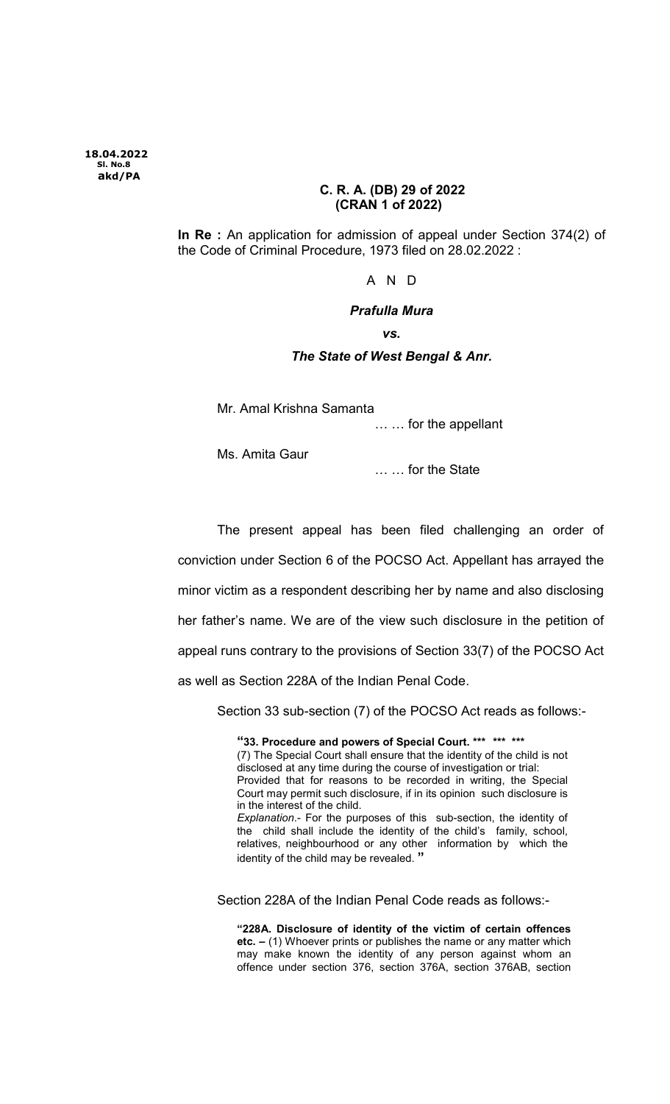## C. R. A. (DB) 29 of 2022 (CRAN 1 of 2022)

In Re : An application for admission of appeal under Section 374(2) of the Code of Criminal Procedure, 1973 filed on 28.02.2022 :

A N D

## Prafulla Mura

vs.

## The State of West Bengal & Anr.

Mr. Amal Krishna Samanta

… … for the appellant

Ms. Amita Gaur

… … for the State

The present appeal has been filed challenging an order of conviction under Section 6 of the POCSO Act. Appellant has arrayed the minor victim as a respondent describing her by name and also disclosing her father's name. We are of the view such disclosure in the petition of appeal runs contrary to the provisions of Section 33(7) of the POCSO Act as well as Section 228A of the Indian Penal Code.

Section 33 sub-section (7) of the POCSO Act reads as follows:-

"33. Procedure and powers of Special Court. \*\*\* \*\*\* \*\*\* (7) The Special Court shall ensure that the identity of the child is not disclosed at any time during the course of investigation or trial: Provided that for reasons to be recorded in writing, the Special Court may permit such disclosure, if in its opinion such disclosure is in the interest of the child. Explanation.- For the purposes of this sub-section, the identity of the child shall include the identity of the child's family, school, relatives, neighbourhood or any other information by which the identity of the child may be revealed. "

Section 228A of the Indian Penal Code reads as follows:-

"228A. Disclosure of identity of the victim of certain offences etc. – (1) Whoever prints or publishes the name or any matter which may make known the identity of any person against whom an offence under section 376, section 376A, section 376AB, section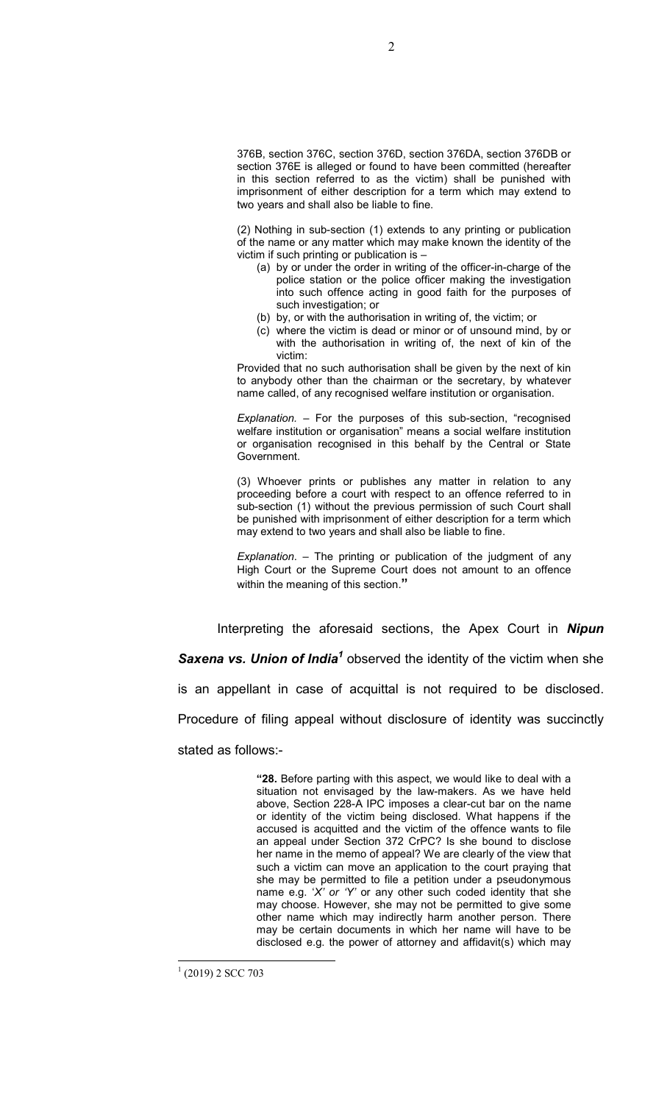376B, section 376C, section 376D, section 376DA, section 376DB or section 376E is alleged or found to have been committed (hereafter in this section referred to as the victim) shall be punished with imprisonment of either description for a term which may extend to two years and shall also be liable to fine.

(2) Nothing in sub-section (1) extends to any printing or publication of the name or any matter which may make known the identity of the victim if such printing or publication is –

- (a) by or under the order in writing of the officer-in-charge of the police station or the police officer making the investigation into such offence acting in good faith for the purposes of such investigation; or
- (b) by, or with the authorisation in writing of, the victim; or
- (c) where the victim is dead or minor or of unsound mind, by or with the authorisation in writing of, the next of kin of the victim:

Provided that no such authorisation shall be given by the next of kin to anybody other than the chairman or the secretary, by whatever name called, of any recognised welfare institution or organisation.

Explanation. – For the purposes of this sub-section, "recognised welfare institution or organisation" means a social welfare institution or organisation recognised in this behalf by the Central or State Government.

(3) Whoever prints or publishes any matter in relation to any proceeding before a court with respect to an offence referred to in sub-section (1) without the previous permission of such Court shall be punished with imprisonment of either description for a term which may extend to two years and shall also be liable to fine.

Explanation. – The printing or publication of the judgment of any High Court or the Supreme Court does not amount to an offence within the meaning of this section."

Interpreting the aforesaid sections, the Apex Court in **Nipun Saxena vs. Union of India<sup>1</sup>** observed the identity of the victim when she is an appellant in case of acquittal is not required to be disclosed. Procedure of filing appeal without disclosure of identity was succinctly stated as follows:-

> "28. Before parting with this aspect, we would like to deal with a situation not envisaged by the law-makers. As we have held above, Section 228-A IPC imposes a clear-cut bar on the name or identity of the victim being disclosed. What happens if the accused is acquitted and the victim of the offence wants to file an appeal under Section 372 CrPC? Is she bound to disclose her name in the memo of appeal? We are clearly of the view that such a victim can move an application to the court praying that she may be permitted to file a petition under a pseudonymous name e.g. 'X' or 'Y' or any other such coded identity that she may choose. However, she may not be permitted to give some other name which may indirectly harm another person. There may be certain documents in which her name will have to be disclosed e.g. the power of attorney and affidavit(s) which may

 $\overline{a}$  $(2019)$  2 SCC 703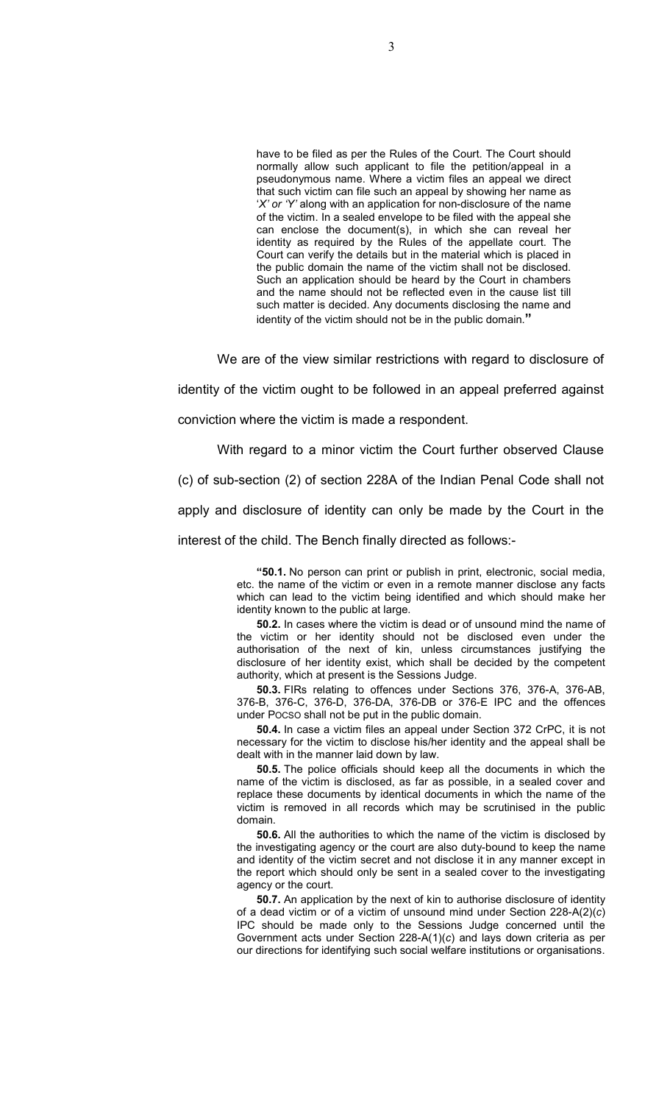have to be filed as per the Rules of the Court. The Court should normally allow such applicant to file the petition/appeal in a pseudonymous name. Where a victim files an appeal we direct that such victim can file such an appeal by showing her name as 'X' or 'Y' along with an application for non-disclosure of the name of the victim. In a sealed envelope to be filed with the appeal she can enclose the document(s), in which she can reveal her identity as required by the Rules of the appellate court. The Court can verify the details but in the material which is placed in the public domain the name of the victim shall not be disclosed. Such an application should be heard by the Court in chambers and the name should not be reflected even in the cause list till such matter is decided. Any documents disclosing the name and identity of the victim should not be in the public domain."

We are of the view similar restrictions with regard to disclosure of

identity of the victim ought to be followed in an appeal preferred against conviction where the victim is made a respondent.

With regard to a minor victim the Court further observed Clause (c) of sub-section (2) of section 228A of the Indian Penal Code shall not apply and disclosure of identity can only be made by the Court in the interest of the child. The Bench finally directed as follows:-

> "50.1. No person can print or publish in print, electronic, social media, etc. the name of the victim or even in a remote manner disclose any facts which can lead to the victim being identified and which should make her identity known to the public at large.

> 50.2. In cases where the victim is dead or of unsound mind the name of the victim or her identity should not be disclosed even under the authorisation of the next of kin, unless circumstances justifying the disclosure of her identity exist, which shall be decided by the competent authority, which at present is the Sessions Judge.

> 50.3. FIRs relating to offences under Sections 376, 376-A, 376-AB, 376-B, 376-C, 376-D, 376-DA, 376-DB or 376-E IPC and the offences under POCSO shall not be put in the public domain.

> 50.4. In case a victim files an appeal under Section 372 CrPC, it is not necessary for the victim to disclose his/her identity and the appeal shall be dealt with in the manner laid down by law.

> 50.5. The police officials should keep all the documents in which the name of the victim is disclosed, as far as possible, in a sealed cover and replace these documents by identical documents in which the name of the victim is removed in all records which may be scrutinised in the public domain.

> 50.6. All the authorities to which the name of the victim is disclosed by the investigating agency or the court are also duty-bound to keep the name and identity of the victim secret and not disclose it in any manner except in the report which should only be sent in a sealed cover to the investigating agency or the court.

> 50.7. An application by the next of kin to authorise disclosure of identity of a dead victim or of a victim of unsound mind under Section 228-A(2)(c) IPC should be made only to the Sessions Judge concerned until the Government acts under Section 228-A(1)(c) and lays down criteria as per our directions for identifying such social welfare institutions or organisations.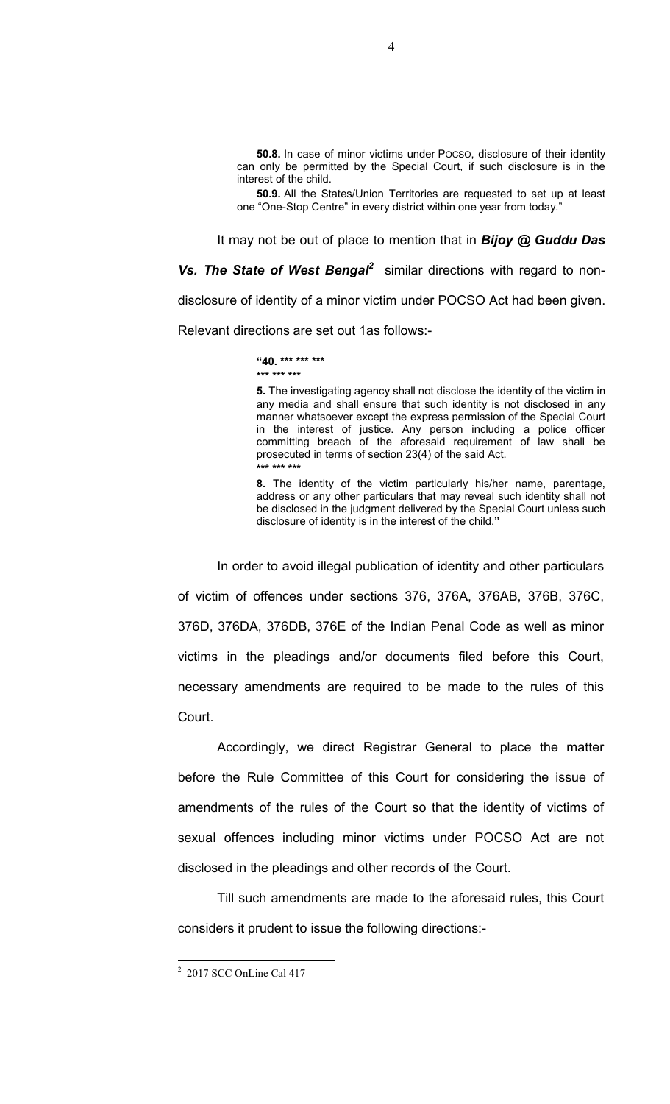50.8. In case of minor victims under POCSO, disclosure of their identity can only be permitted by the Special Court, if such disclosure is in the interest of the child.

50.9. All the States/Union Territories are requested to set up at least one "One-Stop Centre" in every district within one year from today."

It may not be out of place to mention that in **Bijoy**  $@$  **Guddu Das** 

Vs. The State of West Bengal<sup>2</sup> similar directions with regard to nondisclosure of identity of a minor victim under POCSO Act had been given. Relevant directions are set out 1as follows:-

> "40. \*\*\* \*\*\* \*\*\* \*\*\* \*\*\* \*\*\*

5. The investigating agency shall not disclose the identity of the victim in any media and shall ensure that such identity is not disclosed in any manner whatsoever except the express permission of the Special Court in the interest of justice. Any person including a police officer committing breach of the aforesaid requirement of law shall be prosecuted in terms of section 23(4) of the said Act. \*\*\* \*\*\* \*\*\*

8. The identity of the victim particularly his/her name, parentage, address or any other particulars that may reveal such identity shall not be disclosed in the judgment delivered by the Special Court unless such disclosure of identity is in the interest of the child."

In order to avoid illegal publication of identity and other particulars of victim of offences under sections 376, 376A, 376AB, 376B, 376C, 376D, 376DA, 376DB, 376E of the Indian Penal Code as well as minor victims in the pleadings and/or documents filed before this Court, necessary amendments are required to be made to the rules of this Court.

Accordingly, we direct Registrar General to place the matter before the Rule Committee of this Court for considering the issue of amendments of the rules of the Court so that the identity of victims of sexual offences including minor victims under POCSO Act are not disclosed in the pleadings and other records of the Court.

Till such amendments are made to the aforesaid rules, this Court considers it prudent to issue the following directions:-

 2 2017 SCC OnLine Cal 417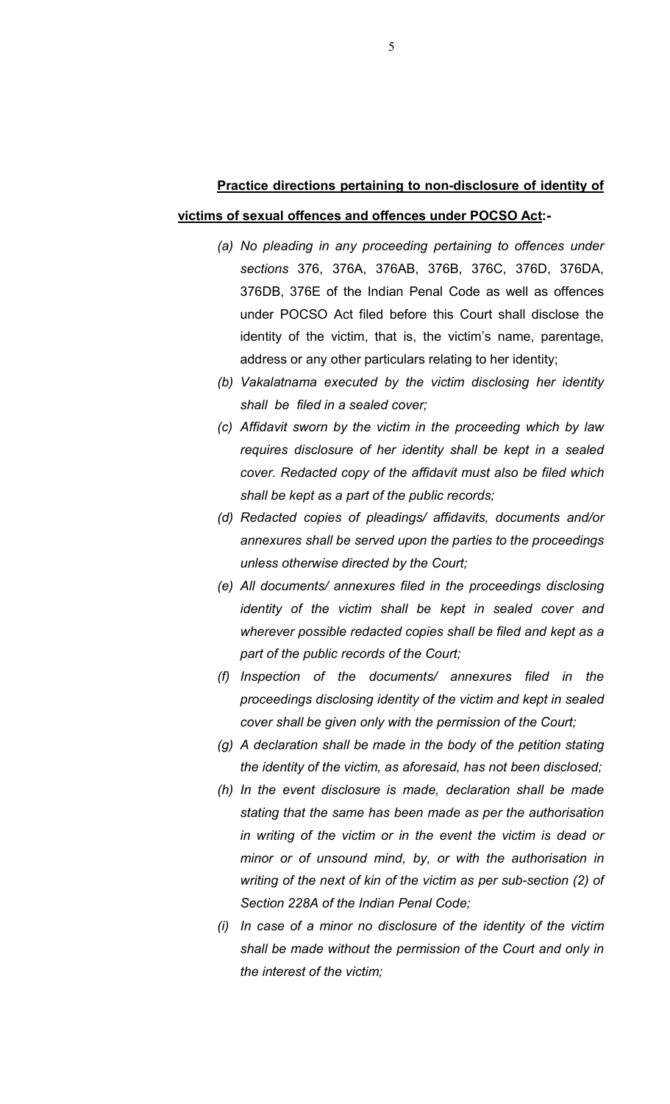## Practice directions pertaining to non-disclosure of identity of victims of sexual offences and offences under POCSO Act:-

- (a) No pleading in any proceeding pertaining to offences under sections 376, 376A, 376AB, 376B, 376C, 376D, 376DA, 376DB, 376E of the Indian Penal Code as well as offences under POCSO Act filed before this Court shall disclose the identity of the victim, that is, the victim's name, parentage, address or any other particulars relating to her identity;
- (b) Vakalatnama executed by the victim disclosing her identity shall be filed in a sealed cover;
- (c) Affidavit sworn by the victim in the proceeding which by law requires disclosure of her identity shall be kept in a sealed cover. Redacted copy of the affidavit must also be filed which shall be kept as a part of the public records;
- (d) Redacted copies of pleadings/ affidavits, documents and/or annexures shall be served upon the parties to the proceedings unless otherwise directed by the Court;
- (e) All documents/ annexures filed in the proceedings disclosing identity of the victim shall be kept in sealed cover and wherever possible redacted copies shall be filed and kept as a part of the public records of the Court;
- (f) Inspection of the documents/ annexures filed in the proceedings disclosing identity of the victim and kept in sealed cover shall be given only with the permission of the Court;
- (g) A declaration shall be made in the body of the petition stating the identity of the victim, as aforesaid, has not been disclosed;
- (h) In the event disclosure is made, declaration shall be made stating that the same has been made as per the authorisation in writing of the victim or in the event the victim is dead or minor or of unsound mind, by, or with the authorisation in writing of the next of kin of the victim as per sub-section (2) of Section 228A of the Indian Penal Code;
- (i) In case of a minor no disclosure of the identity of the victim shall be made without the permission of the Court and only in the interest of the victim;